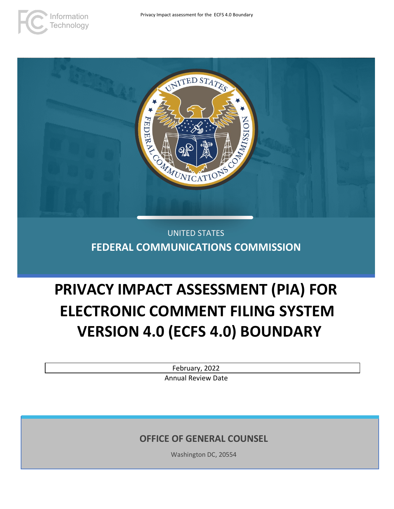



# UNITED STATES **FEDERAL COMMUNICATIONS COMMISSION**

# **PRIVACY IMPACT ASSESSMENT (PIA) FOR ELECTRONIC COMMENT FILING SYSTEM VERSION 4.0 (ECFS 4.0) BOUNDARY**

February, 2022 Annual Review Date

**OFFICE OF GENERAL COUNSEL**

Washington DC, 20554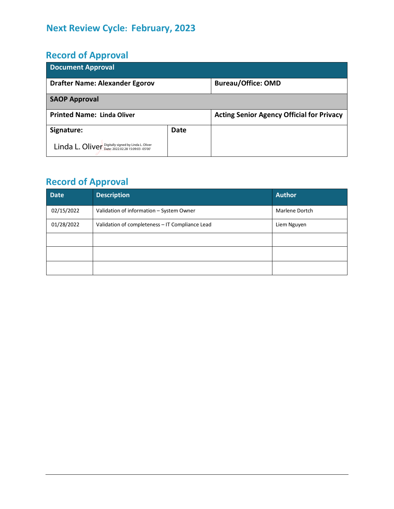# **Next Review Cycle: February, 2023**

# **Record of Approval**

| <b>Document Approval</b>                            |      |                                                  |  |  |  |
|-----------------------------------------------------|------|--------------------------------------------------|--|--|--|
| <b>Drafter Name: Alexander Egorov</b>               |      | <b>Bureau/Office: OMD</b>                        |  |  |  |
| <b>SAOP Approval</b>                                |      |                                                  |  |  |  |
| <b>Printed Name: Linda Oliver</b>                   |      | <b>Acting Senior Agency Official for Privacy</b> |  |  |  |
| Signature:                                          | Date |                                                  |  |  |  |
| Linda L. Oliver Digitally signed by Linda L. Oliver |      |                                                  |  |  |  |

# **Record of Approval**

| <b>Date</b> | <b>Description</b>                              | <b>Author</b>  |
|-------------|-------------------------------------------------|----------------|
| 02/15/2022  | Validation of information - System Owner        | Marlene Dortch |
| 01/28/2022  | Validation of completeness - IT Compliance Lead | Liem Nguyen    |
|             |                                                 |                |
|             |                                                 |                |
|             |                                                 |                |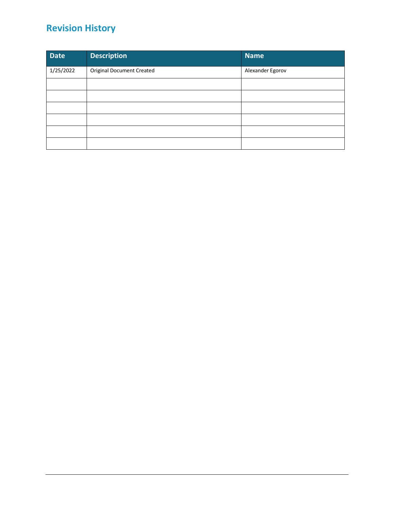# **Revision History**

| <b>Date</b> | <b>Description</b>               | <b>Name</b>      |
|-------------|----------------------------------|------------------|
| 1/25/2022   | <b>Original Document Created</b> | Alexander Egorov |
|             |                                  |                  |
|             |                                  |                  |
|             |                                  |                  |
|             |                                  |                  |
|             |                                  |                  |
|             |                                  |                  |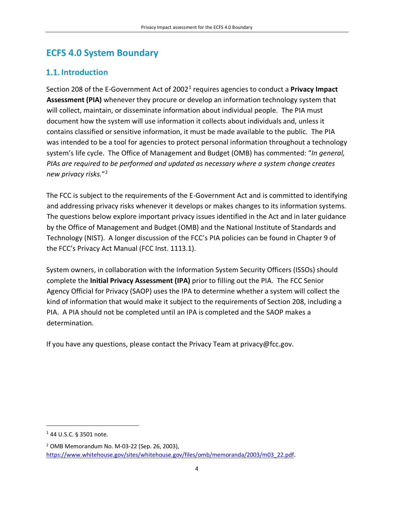# **ECFS 4.0 System Boundary**

# **1.1.** Introduction

Section 208 of the E-Government Act of 20021 requires agencies to conduct a **Privacy Impact Assessment (PIA)** whenever they procure or develop an information technology system that will collect, maintain, or disseminate information about individual people. The PIA must document how the system will use information it collects about individuals and, unless it contains classified or sensitive information, it must be made available to the public. The PIA was intended to be a tool for agencies to protect personal information throughout a technology system's life cycle. The Office of Management and Budget (OMB) has commented: "*In general, PIAs are required to be performed and updated as necessary where a system change creates new privacy risks.*"2

The FCC is subject to the requirements of the E-Government Act and is committed to identifying and addressing privacy risks whenever it develops or makes changes to its information systems. The questions below explore important privacy issues identified in the Act and in later guidance by the Office of Management and Budget (OMB) and the National Institute of Standards and Technology (NIST). A longer discussion of the FCC's PIA policies can be found in Chapter 9 of the FCC's Privacy Act Manual (FCC Inst. 1113.1).

System owners, in collaboration with the Information System Security Officers (ISSOs) should complete the **Initial Privacy Assessment (IPA)** prior to filling out the PIA. The FCC Senior Agency Official for Privacy (SAOP) uses the IPA to determine whether a system will collect the kind of information that would make it subject to the requirements of Section 208, including a PIA. A PIA should not be completed until an IPA is completed and the SAOP makes a determination.

If you have any questions, please contact the Privacy Team at privacy@fcc.gov.

 $1$  44 U.S.C. § 3501 note.

<sup>2</sup> OMB Memorandum No. M-03-22 (Sep. 26, 2003), https://www.whitehouse.gov/sites/whitehouse.gov/files/omb/memoranda/2003/m03\_22.pdf.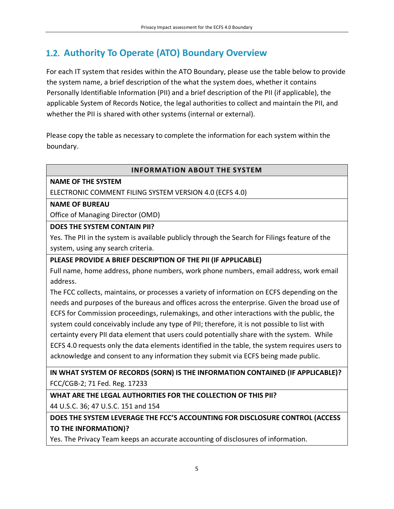# **Authority To Operate (ATO) Boundary Overview**

For each IT system that resides within the ATO Boundary, please use the table below to provide the system name, a brief description of the what the system does, whether it contains Personally Identifiable Information (PII) and a brief description of the PII (if applicable), the applicable System of Records Notice, the legal authorities to collect and maintain the PII, and whether the PII is shared with other systems (internal or external).

Please copy the table as necessary to complete the information for each system within the boundary.

#### **INFORMATION ABOUT THE SYSTEM**

#### **NAME OF THE SYSTEM**

ELECTRONIC COMMENT FILING SYSTEM VERSION 4.0 (ECFS 4.0)

#### **NAME OF BUREAU**

Office of Managing Director (OMD)

#### **DOES THE SYSTEM CONTAIN PII?**

Yes. The PII in the system is available publicly through the Search for Filings feature of the system, using any search criteria.

#### **PLEASE PROVIDE A BRIEF DESCRIPTION OF THE PII (IF APPLICABLE)**

Full name, home address, phone numbers, work phone numbers, email address, work email address.

The FCC collects, maintains, or processes a variety of information on ECFS depending on the needs and purposes of the bureaus and offices across the enterprise. Given the broad use of ECFS for Commission proceedings, rulemakings, and other interactions with the public, the system could conceivably include any type of PII; therefore, it is not possible to list with certainty every PII data element that users could potentially share with the system. While ECFS 4.0 requests only the data elements identified in the table, the system requires users to acknowledge and consent to any information they submit via ECFS being made public.

**IN WHAT SYSTEM OF RECORDS (SORN) IS THE INFORMATION CONTAINED (IF APPLICABLE)?** FCC/CGB-2; 71 Fed. Reg. 17233

**WHAT ARE THE LEGAL AUTHORITIES FOR THE COLLECTION OF THIS PII?**

44 U.S.C. 36; 47 U.S.C. 151 and 154

**DOES THE SYSTEM LEVERAGE THE FCC'S ACCOUNTING FOR DISCLOSURE CONTROL (ACCESS TO THE INFORMATION)?**

Yes. The Privacy Team keeps an accurate accounting of disclosures of information.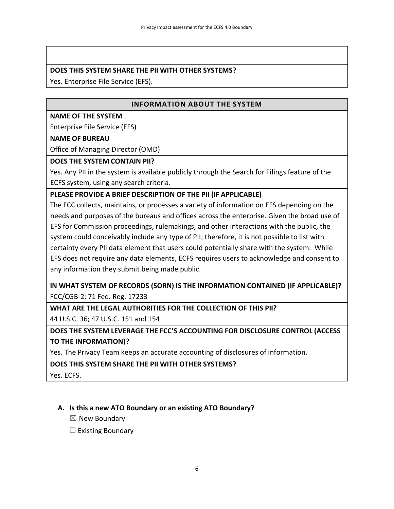#### **DOES THIS SYSTEM SHARE THE PII WITH OTHER SYSTEMS?**

Yes. Enterprise File Service (EFS).

#### **INFORMATION ABOUT THE SYSTEM**

#### **NAME OF THE SYSTEM**

Enterprise File Service (EFS)

#### **NAME OF BUREAU**

Office of Managing Director (OMD)

#### **DOES THE SYSTEM CONTAIN PII?**

Yes. Any PII in the system is available publicly through the Search for Filings feature of the ECFS system, using any search criteria.

#### **PLEASE PROVIDE A BRIEF DESCRIPTION OF THE PII (IF APPLICABLE)**

The FCC collects, maintains, or processes a variety of information on EFS depending on the needs and purposes of the bureaus and offices across the enterprise. Given the broad use of EFS for Commission proceedings, rulemakings, and other interactions with the public, the system could conceivably include any type of PII; therefore, it is not possible to list with certainty every PII data element that users could potentially share with the system. While EFS does not require any data elements, ECFS requires users to acknowledge and consent to any information they submit being made public.

**IN WHAT SYSTEM OF RECORDS (SORN) IS THE INFORMATION CONTAINED (IF APPLICABLE)?** FCC/CGB-2; 71 Fed. Reg. 17233

**WHAT ARE THE LEGAL AUTHORITIES FOR THE COLLECTION OF THIS PII?**

44 U.S.C. 36; 47 U.S.C. 151 and 154

**DOES THE SYSTEM LEVERAGE THE FCC'S ACCOUNTING FOR DISCLOSURE CONTROL (ACCESS TO THE INFORMATION)?**

Yes. The Privacy Team keeps an accurate accounting of disclosures of information.

**DOES THIS SYSTEM SHARE THE PII WITH OTHER SYSTEMS?**

Yes. ECFS.

#### **A. Is this a new ATO Boundary or an existing ATO Boundary?**

 $\boxtimes$  New Boundary

 $\Box$  Existing Boundary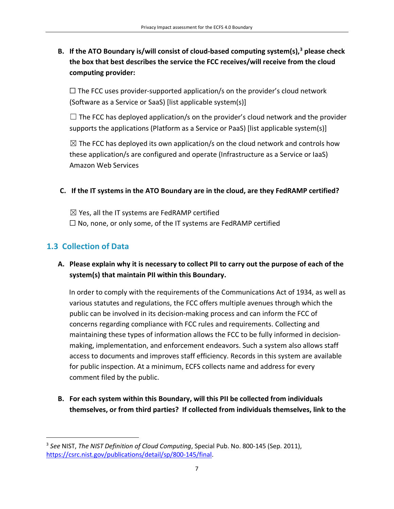# **B. If the ATO Boundary is/will consist of cloud-based computing system(s), <sup>3</sup> please check the box that best describes the service the FCC receives/will receive from the cloud computing provider:**

 $\Box$  The FCC uses provider-supported application/s on the provider's cloud network (Software as a Service or SaaS) [list applicable system(s)]

 $\Box$  The FCC has deployed application/s on the provider's cloud network and the provider supports the applications (Platform as a Service or PaaS) [list applicable system(s)]

 $\boxtimes$  The FCC has deployed its own application/s on the cloud network and controls how these application/s are configured and operate (Infrastructure as a Service or IaaS) Amazon Web Services

#### **C. If the IT systems in the ATO Boundary are in the cloud, are they FedRAMP certified?**

 $\boxtimes$  Yes, all the IT systems are FedRAMP certified  $\Box$  No, none, or only some, of the IT systems are FedRAMP certified

# **1.3 Collection of Data**

### **A. Please explain why it is necessary to collect PII to carry out the purpose of each of the system(s) that maintain PII within this Boundary.**

In order to comply with the requirements of the Communications Act of 1934, as well as various statutes and regulations, the FCC offers multiple avenues through which the public can be involved in its decision-making process and can inform the FCC of concerns regarding compliance with FCC rules and requirements. Collecting and maintaining these types of information allows the FCC to be fully informed in decisionmaking, implementation, and enforcement endeavors. Such a system also allows staff access to documents and improves staff efficiency. Records in this system are available for public inspection. At a minimum, ECFS collects name and address for every comment filed by the public.

**B. For each system within this Boundary, will this PII be collected from individuals themselves, or from third parties? If collected from individuals themselves, link to the** 

<sup>3</sup> *See* NIST, *The NIST Definition of Cloud Computing*, Special Pub. No. 800-145 (Sep. 2011), https://csrc.nist.gov/publications/detail/sp/800-145/final.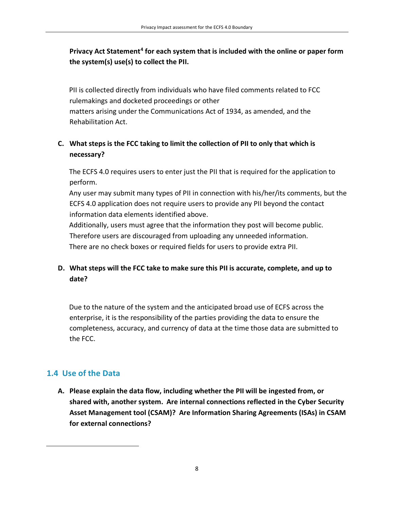# Privacy Act Statement<sup>4</sup> for each system that is included with the online or paper form **the system(s) use(s) to collect the PII.**

PII is collected directly from individuals who have filed comments related to FCC rulemakings and docketed proceedings or other matters arising under the Communications Act of 1934, as amended, and the Rehabilitation Act.

### **C. What steps is the FCC taking to limit the collection of PII to only that which is necessary?**

The ECFS 4.0 requires users to enter just the PII that is required for the application to perform.

Any user may submit many types of PII in connection with his/her/its comments, but the ECFS 4.0 application does not require users to provide any PII beyond the contact information data elements identified above.

Additionally, users must agree that the information they post will become public. Therefore users are discouraged from uploading any unneeded information. There are no check boxes or required fields for users to provide extra PII.

# **D. What steps will the FCC take to make sure this PII is accurate, complete, and up to date?**

Due to the nature of the system and the anticipated broad use of ECFS across the enterprise, it is the responsibility of the parties providing the data to ensure the completeness, accuracy, and currency of data at the time those data are submitted to the FCC.

# **1.4 Use of the Data**

**A. Please explain the data flow, including whether the PII will be ingested from, or shared with, another system. Are internal connections reflected in the Cyber Security Asset Management tool (CSAM)? Are Information Sharing Agreements (ISAs) in CSAM for external connections?**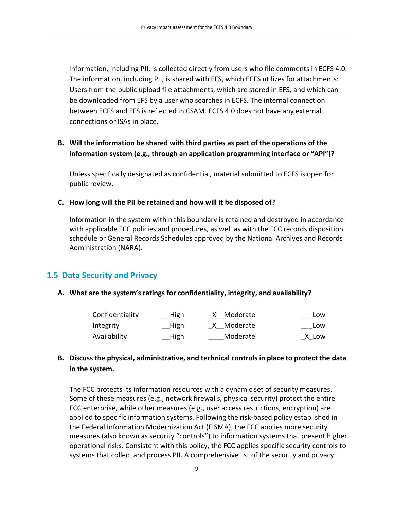Information, including PII, is collected directly from users who file comments in ECFS 4.0. The information, including PII, is shared with EFS, which ECFS utilizes for attachments: Users from the public upload file attachments, which are stored in EFS, and which can be downloaded from EFS by a user who searches in ECFS. The internal connection between ECFS and EFS is reflected in CSAM. ECFS 4.0 does not have any external connections or ISAs in place.

### **B. Will the information be shared with third parties as part of the operations of the information system (e.g., through an application programming interface or "API")?**

Unless specifically designated as confidential, material submitted to ECFS is open for public review.

#### **C. How long will the PII be retained and how will it be disposed of?**

Information in the system within this boundary is retained and destroyed in accordance with applicable FCC policies and procedures, as well as with the FCC records disposition schedule or General Records Schedules approved by the National Archives and Records Administration (NARA).

### **1.5 Data Security and Privacy**

#### **A. What are the system's ratings for confidentiality, integrity, and availability?**

| Confidentiality | $\_$ High | X Moderate   | Low   |
|-----------------|-----------|--------------|-------|
| Integrity       | High      | _X__Moderate | Low   |
| Availability    | High      | Moderate     | X Low |

### **B. Discuss the physical, administrative, and technical controls in place to protect the data in the system.**

The FCC protects its information resources with a dynamic set of security measures. Some of these measures (e.g., network firewalls, physical security) protect the entire FCC enterprise, while other measures (e.g., user access restrictions, encryption) are applied to specific information systems. Following the risk-based policy established in the Federal Information Modernization Act (FISMA), the FCC applies more security measures (also known as security "controls") to information systems that present higher operational risks. Consistent with this policy, the FCC applies specific security controls to systems that collect and process PII. A comprehensive list of the security and privacy